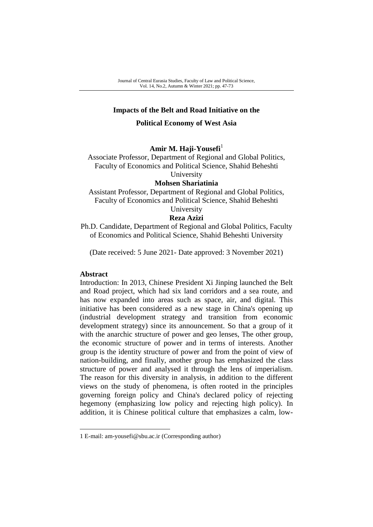## **Impacts of the Belt and Road Initiative on the**

## **Political Economy of West Asia**

## Amir M. Haji-Yousefi<sup>1</sup>

Associate Professor, Department of Regional and Global Politics, Faculty of Economics and Political Science, Shahid Beheshti University

#### **Mohsen Shariatinia**

Assistant Professor, Department of Regional and Global Politics, Faculty of Economics and Political Science, Shahid Beheshti

# University

# **Reza Azizi**

Ph.D. Candidate, Department of Regional and Global Politics, Faculty of Economics and Political Science, Shahid Beheshti University

(Date received: 5 June 2021- Date approved: 3 November 2021)

#### **Abstract**

-

Introduction: In 2013, Chinese President Xi Jinping launched the Belt and Road project, which had six land corridors and a sea route, and has now expanded into areas such as space, air, and digital. This initiative has been considered as a new stage in China's opening up (industrial development strategy and transition from economic development strategy) since its announcement. So that a group of it with the anarchic structure of power and geo lenses, The other group, the economic structure of power and in terms of interests. Another group is the identity structure of power and from the point of view of nation-building, and finally, another group has emphasized the class structure of power and analysed it through the lens of imperialism. The reason for this diversity in analysis, in addition to the different views on the study of phenomena, is often rooted in the principles governing foreign policy and China's declared policy of rejecting hegemony (emphasizing low policy and rejecting high policy). In addition, it is Chinese political culture that emphasizes a calm, low-

<sup>1</sup> E-mail: am-yousefi@sbu.ac.ir (Corresponding author)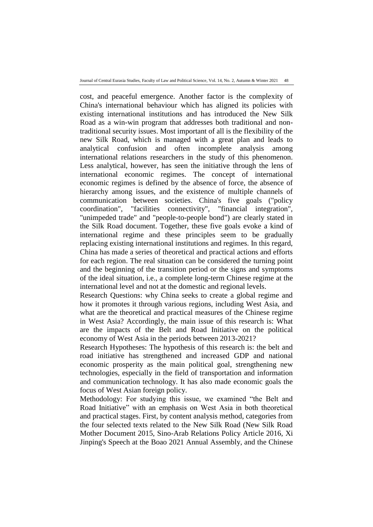cost, and peaceful emergence. Another factor is the complexity of China's international behaviour which has aligned its policies with existing international institutions and has introduced the New Silk Road as a win-win program that addresses both traditional and nontraditional security issues. Most important of all is the flexibility of the new Silk Road, which is managed with a great plan and leads to analytical confusion and often incomplete analysis among international relations researchers in the study of this phenomenon. Less analytical, however, has seen the initiative through the lens of international economic regimes. The concept of international economic regimes is defined by the absence of force, the absence of hierarchy among issues, and the existence of multiple channels of communication between societies. China's five goals ("policy coordination", "facilities connectivity", "financial integration", "unimpeded trade" and "people-to-people bond") are clearly stated in the Silk Road document. Together, these five goals evoke a kind of international regime and these principles seem to be gradually replacing existing international institutions and regimes. In this regard, China has made a series of theoretical and practical actions and efforts for each region. The real situation can be considered the turning point and the beginning of the transition period or the signs and symptoms of the ideal situation, i.e., a complete long-term Chinese regime at the international level and not at the domestic and regional levels.

Research Questions: why China seeks to create a global regime and how it promotes it through various regions, including West Asia, and what are the theoretical and practical measures of the Chinese regime in West Asia? Accordingly, the main issue of this research is: What are the impacts of the Belt and Road Initiative on the political economy of West Asia in the periods between 2013-2021?

Research Hypotheses: The hypothesis of this research is: the belt and road initiative has strengthened and increased GDP and national economic prosperity as the main political goal, strengthening new technologies, especially in the field of transportation and information and communication technology. It has also made economic goals the focus of West Asian foreign policy.

Methodology: For studying this issue, we examined "the Belt and Road Initiative" with an emphasis on West Asia in both theoretical and practical stages. First, by content analysis method, categories from the four selected texts related to the New Silk Road (New Silk Road Mother Document 2015, Sino-Arab Relations Policy Article 2016, Xi Jinping's Speech at the Boao 2021 Annual Assembly, and the Chinese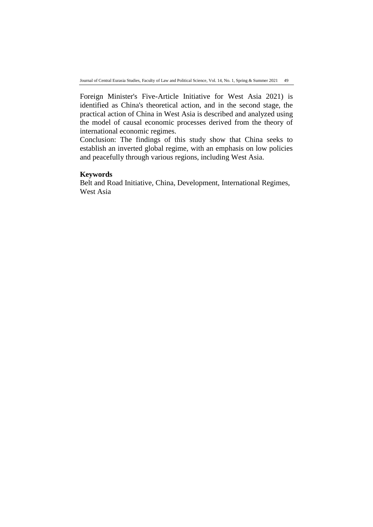Foreign Minister's Five-Article Initiative for West Asia 2021) is identified as China's theoretical action, and in the second stage, the practical action of China in West Asia is described and analyzed using the model of causal economic processes derived from the theory of international economic regimes.

Conclusion: The findings of this study show that China seeks to establish an inverted global regime, with an emphasis on low policies and peacefully through various regions, including West Asia.

#### **Keywords**

Belt and Road Initiative, China, Development, International Regimes, West Asia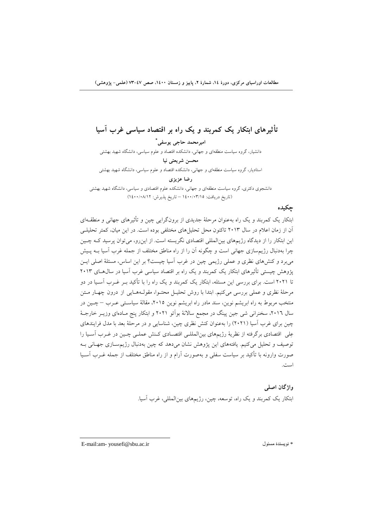**تأثيرهاي ابتکار یک كمربند و یک راه بر اقتصاد سياسی غرب آسيا**

**\* اميرمحمد حاجی یوسفی** دانشیار، گروه سیاست منطقهای و جهانی، دانشکده اقتصاد و علوم سیاسی، دانشگاه شهید بهشتی **محسن شریعتی نيا** استادیار، گروه سیاست منطقهای و جهانی، دانشکده اقتصاد و علوم سیاسی، دانشگاه شهید بهشتی **رضا عزیزي** دانشجوی دکتری، گروه سیاست منطقهای و جهانی، دانشکده علوم اقتصادی و سیاسی، دانشگاه شهید بهشتی

)تاریخ دریافت: 1400/03/15 – تاریخ پذیرش: 1400/08/12(

## **چکيده**

ابتکار یک کمربند و یک راه بهعنوان مرحلۀ جدیدی از برونگرایی چین و تأثیرهای جهانی و منطقهه ای آن از زمان اعالم در سال 2013 تاکنون محل تحلیلهای مختلفی بوده است. در این میان، کمتر تحلیلهی این ابتکار را از دیدگاه رژیمهای بینالمللی اقتصادی نگریسته است. از اینرو، میتوان پرسید کهه چه ین چرا بهدنبال رژیمسازی جهانی است و چگونه آن را از راه مناطق مختلف از جمله غرب آسیا بهه په یش میبرد و کنشهای نظری و عملی رژیمی چین در غرب آسیا چیست؟ بر این اساس، مسئلۀ اصلی ایه ن پژوهش چیستی تأثیرهای ابتکار یک کمربند و یک راه بر اقتصاد سیاسی غرب آسیا در سال هـای ۲۰۱۳ تا 2021 است. برای بررسی این مسئله، ابتکار یک کمربند و یک راه را با تأکید بهر غهرب آسه یا در دو مرحلۀ نظری و عملی بررسی میکنیم. ابتدا با روش تحلیـل محتـوا، مقولـههـایی از درون چهـار مـتن منتخب مربوط به راه ابریشم نوین، سند مادر راه ابریشم نوین ۲۰۱۵، مقالۀ سیاسـتـی عــرب – چــین در سال ۲۰۱٦، سخنرانی شی جین پینگ در مجمع سالانۀ بوآئو ۲۰۲۱ و ابتکار پنج مـادهای وزیــر خارجــۀ چین برای غرب آسیا )2021( را بهعنوان کنش نظری چین، شناسایی و در مرحلۀ بعد با مدل فرایندهای عِلی اقتصادی برگرفته از نظریۀ رژیمهای بینالمللـی اقتصـادی کـنش عملـی چـین در غـرب آسـیا را توصیف و تحلیل میکنیم. یافتههای این پژوهش نشان میدهد که چین بهدنبال رژیمسازی جهـانی بـه صورت وارونه با تأکید بر سیاست سفلی و بهصورت آرام و از راه مناطق مختلف از جمله غهرب آسهیا است.

> **واژگان اصلی** ابتکار یک کمربند و یک راه، توسعه، چین، رژیمهای بینالمللی، غرب آسیا.

E-mail:am- yousefi@sbu.ac.ir مسئول نویسندۀ\*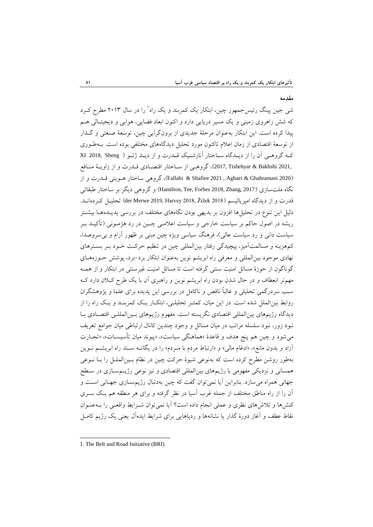#### **مقدمه**

1 شی جین پینگ رئیسجمهور چین، ابتکار یک کمربند و یک راه را در سال 2013 مطرح کهرد که شش راهروی زمینی و یک مسیر دریایی دارد و اکنون ابعاد فضایی، هوایی و دیجیتهالی ههم پیدا کرده است. این ابتکار بهعنوان مرحلۀ جدیدی از برونگرایی چین، توسعۀ صنعتی و گهذار از توسعۀ اقتصادی از زمان اعالم تاکنون مورد تحلیل دیدگاههای مختلفی بوده است. بهه طهوری کهه گروههی آن را از دیهدگاه سهاختار آنارشهیک قهدرت و از دیهد ژئهو ) Sheng 2018, XI 2021, Bakhshi & Tishehyar 2017,)، گروههی از سهاختار اقتصهادی قهدرت و از زاویهۀ منهافع )2020 Ghahramani & Aghaei , 2021 Shafiee & Fallahi)، گروهی ساختار ههویتی قهدرت و از نگاه ملتسازی )2017 ,Zhang 2018, Forbes ,Tee ,Hamilton )و گروهی دیگر بر ساختار طبقاتی قدرت و از دیدگاه امپریالیسم (2018 der Merwe 2019, Harvey) تحلیـل کـردهانــد. دلیل این تنوع در تحلیلها افزون بر بدیهی بودن نگاههای مختلف در بررسی پدیـدههـا بیشــتر ریشه در اصول حاکم بر سیاست خارجی و سیاست اعالمهی چهین در رد هژمهونی )تأکیهد بهر سیاست دانی و رد سیاست عالی)، فرهنگ سیاسی ویژه چین مبنی بر ظهور آرام و بی سروصدا، کمهزینه و مسالمتآمیز، پیچیدگی رفتار بینالمللی چین در تنظیم حرکهت خهود بهر بسهترهای نهادی موجود بینالمللی و معرفی راه ابریشم نوین بهعنوان ابتکار برد-برد، پوشش حهوزه ههای گوناگون از حوزۀ مسائل امنیت سنتی گرفته است تا مسائل امنیت غیرسنتی در ابتکار و از همهه مهمتر انعطاف و در حال شدن بودن راه ابریشم نوین و راهبری آن با یک طرح کهالن دارد کهه سبب سردرگمی تحلیلی و غالباً ناقص و ناکامل در بررسی این پدیده برای علما و پژوهشگران روابط بینالملل شده است. در این میان، کمتهر تحلیلهی، ابتکهار یهک کمربنهد و یهک راه را از دیدگاه رژیمهای بینالمللی اقتصادی نگریسته است. مفهوم رژیمهای بهین المللهی اقتصهادی بها نبود زور، نبود سلسله مراتب در میان مسائل و وجود چندین کانال ارتباطی میان جوامع تعریف میشود و چین هم پنج هدف و قاعدۀ »هماهنگی سیاست»، »پیوند میان تأسیسهات »، »تجهارت آزاد و بدون مانع»، »ادغام مالی» و »ارتباط مردم با مهردم » را در یگانهه سهند راه ابریشهم نهوین بهطور روشن مطرح کرده است که بهنوعی شیوۀ حرکت چین در نظام بهین الملهل را بها نهوعی همسانی و نزدیکی مفهومی با رژیمهای بینالمللی اقتصادی و نیز نوعی رژیهم سهازی در سهط جهانی همراه میسازد. بنابراین آیا نمیتوان گفت که چین بهدنبال رژیمسازی جهـانی اسـت و آن را از راه مناطق مختلف از جمله غرب آسیا در نظر گرفته و برای هر منطقه هم یهک سهری کنشها و تلاشهای نظری و عملی انجام داده است؟ آیا نمی توان شـرایط واقعـی را بـهعنـوان نقاط عطف و آغاز دورۀ گذار یا نشانهها و ردپاهایی برای شرایط ایدهآل یعنی یک رژیم کامهل

<sup>-</sup>1. The Belt and Road Initiative (BRI)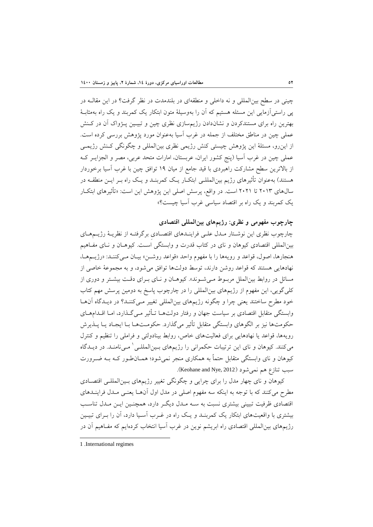چینی در سطح بین المللی و نه داخلی و منطقهای در بلندمدت در نظر گرفت؟ در این مقالـه در پی راستیآزمایی این مسئله هستیم که آن را بهوسیلۀ متون ابتکار یک کمربند و یک راه بهمثابهۀ بهترین راه برای مستندکردن و نشاندادن رژیمسازی نظری چین و تبیـین پـژواک آن در کـنش عملی چین در مناطق مختلف از جمله در غرب آسیا بهعنوان مورد پژوهش بررسی کرده است. از اینرو، مسئلۀ این پژوهش چیستی کنش رژیمی نظری بینالمللی و چگونگی کهنش رژیمهی عملی چین در غرب آسیا (پنج کشور ایران، عربستان، امارات متحد عربی، مصر و الجزایـر کـه از بالاترین سطح مشارکت راهبردی با قید جامع از میان ۱۹ توافق چین با غرب آسیا برخوردار هستند) بهعنوان تأثیرهای رژیم بین|لمللـی ابتکـار یـک کمربنـد و یـک راه بـر ایــن منطقــه در سالهای 2013 تا 2021 است. در واقع، پرسش اصلی این پژوهش این است: »تأثیرهای ابتکهار یک کمربند و یک راه بر اقتصاد سیاسی غرب آسیا چیست؟»

**چارچوب مفهومی و نظري: رژیمهاي بينالمللی اقتصادي**

چارچوب نظری این نوشتار مـدل علـی فراینـدهای اقتصـادی برگرفتـه از نظریـهٔ رژیــمهـای بینالمللی اقتصادی کیوهان و نای در کتاب قدرت و وابستگی اسهت. کیوههان و نهای مفهاهیم هنجارها، اصول، قواعد و رویهها را با مفهوم واحد »قواعد روشهن » بیهان مهی کننهد: »رژیهم هها، نهادهایی هستند که قواعد روشن دارند، توسط دولتها توافق میشود، و به مجموعۀ خاصی از مسائل در روابط بینالملل مربهوط مهی شهوند ». کیوههان و نهای بهرای دقهت بیشهتر و دوری از کلیگویی، این مفهوم از رژیمهای بینالمللی را در چارچوب پاسخ به دومین پرسش مهم کتاب خود مطرح ساختند یعنی چرا و چگونه رژیمهای بینالمللی تغییر مهی کننهد؟ در دیهدگاه آن هها وابستگی متقابل اقتصادی بر سیاست جهان و رفتار دولتهها تهأثیر مهی گهذارد، امها اقهدام ههای حکومتها نیز بر الگوهای وابستگی متقابل تأثیر میگذارد. حکومهت هها بها ایجهاد یها پهذیرش رویهها، قواعد یا نهادهایی برای فعالیتهای خاص، روابط بینادولتی و فراملی را تنظیم و کنترل میکنند. کیوهان و نای این ترتیبات حکمرانی را رژیمهای بـینالمللـی ٰ مـیiامنـد. در دیــدگاه کیوهان و نای وابستگی متقابل حتماً به همکاری منجر نمیشود؛ همـانطـور کـه بــه ضــرورت سبب تنازع هم نمي شود (Keohane and Nye, 2012).

کیوهان و نای چهار مدل را برای چرایی و چگونگی تغییر رژیمهای بهین المللهی اقتصهادی مطرح میکنند که با توجه به اینکه سه مفهوم اصلی در مدل اول آنهها یعنهی مهدل فر اینهدهای اقتصادی ظرفیت تبیینی بیشتری نسبت به سـه مـدل دیگـر دارد، همچنـین ایــن مـدل تناسـب بیشتری با واقعیتهای ابتکار یک کمربنهد و یهک راه در غهرب آسهیا دارد، آن را بهرای تبیهین رژیمهای بینالمللی اقتصادی راه ابریشم نوین در غرب آسیا انتخاب کردهایم که مفهاهیم آن در

<sup>1 .</sup>International regimes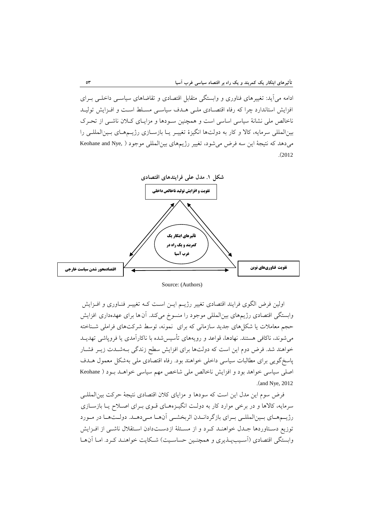ادامه میآید: تغییرهای فناوری و وابستگی متقابل اقتصادی و تقاضاهای سیاسهی داخلهی بهرای افزایش استاندارد چرا که رفاه اقتصادی ملبی هـدف سیاسـی مسـلط اسـت و افـزایش تولیـد ناخالص ملی نشانۀ سیاسی اساسی است و همچنین سـودها و مزایـای کـلان ناشـی از تحـرک بینالمللی سرمایه، کاال و کار به دولتها انگیزۀ تغییهر یها بازسهازی رژیهم ههای بهین المللهی را میدهد که نتیجۀ این سه فرض میشود، تغییر رژیمهای بینالمللی موجود ( ,Keohane and Nye .)<sup>2012</sup>



Source: (Authors)

اولین فرض الگوی فرایند اقتصادی تغییر رژیـم ایـن اسـت کـه تغییـر فنـاوری و افـزایش وابستگی اقتصادی رژیمهای بینالمللی موجود را منسوخ میکند. آنها برای عهدهداری افزایش حجم معاملات یا شکلهای جدید سازمانی که برای نمونه، توسط شرکتهای فراملی شـناخته میشوند، ناکافی هستند. نهادها، قواعد و رویههای تأسیسشده با ناکارآمدی یا فروپاشی تهدیهد خواهند شد. فرض دوم این است که دولتها برای افزایش سطح زندگی بـهشـدت زیـر فشـار پاسخگویی برای مطالبات سیاسی داخلی خواهند بود. رفاه اقتصادی ملی بهشکل معمول ههدف اصلی سیاسی خواهد بود و افزایش ناخالص ملی شاخص مهم سیاسی خواههد بهو د ) Keohane .(and Nye, 2012

فرض سوم این مدل این است که سودها و مزایای کالن اقتصادی نتیجۀ حرکت بینالمللهی سرمایه، کالاها و در برخی موارد کار به دولت انگیـزههـای قـوی بـرای اصـلاح یـا بازسـازی رژیمههای بمینالمللمی برای بازگردانمدن اثربخشمی آنهما مهدهصد. دولمتهما در ممورد توزیع دستاوردها جهدل خواهنه کرد و از مسئلۀ ازدستدادن استقلال ناشهی از افـزایش وابستگی اقتصادی (آسـیبپـذیری و همچنـین حساسـیت) شـکایت خواهنـد کـرد. امـا آن۱مـا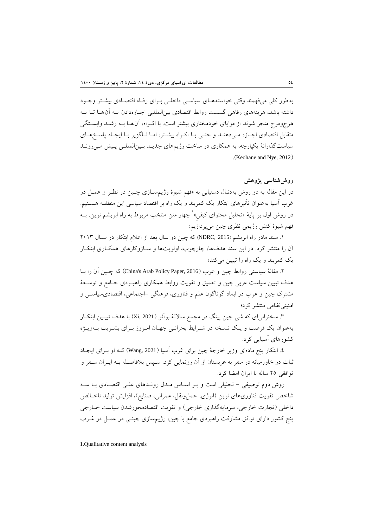بهطور کلی میفهمند وقتی خواستهههای سیاسهی داخلهی بهرای رفهاه اقتصهادی بیشهتر وجهود داشته باشد، هزینههای رفاهی گسست روابط اقتصادی بینالمللیی اجهازه دادن بهه آنهها تها بهه هرجومرج منجر شوند از مزایای خودمختاری بیشتر است. با اکهراه، آنهها بهه رشهد وابسهتگی متقابل اقتصادی اجبازه مهی دهند و حتبی با اکراه بیشتر، اما ناگزیر با ایجاد پاسخ های سیاستگذارانۀ یکپارچه، به همکاری در ساخت رژیمهای جدیهد بهین المللهی پهیش مهی رونهد .(Keohane and Nye, 2012).

# **روششناسی پژوهش**

در این مقاله به دو روش بهدنبال دستیابی به »فهم شیوۀ رژیمسهازی چهین در نظهر و عمهل در غرب آسیا بهعنوان تأثیرهای ابتکار یک کمربند و یک راه بر اقتصاد سیاسی این منطقهه هسهتیم. در روش اول بر پایهٔ «تحلیل محتوای کیفیِ» ٰ چهار متن منتخب مربوط به راه ابریشم نوین، بــه فهم شیوۀ کنش رژیمی نظری چین میپردازیم:

.1 سند مادر راه ابریشم )2015 ,NDRC )که چین دو سال بعد از اعالم ابتکار در سهال 2013 آن را منتشر کرد. در این سند هدفها، چارچوب، اولویتها و سـازوکارهای همکـاری ابتکـار یک کمربند و یک راه را تبیین میکند؛

.2 مقالۀ سیاستی روابط چین و عرب )2016 ,Paper Policy Arab s'China )که چه ین آن را بها هدف تبیین سیاست عربی چین و تعمیق و تقویت روابط همکاری راهبـردی جـامع و توســعۀ مشترآ چین و عرب در ابعاد گوناگون علم و فناوری، فرهنگی -اجتماعی، اقتصادیسیاسه ی و امنیتینظامی منتشر کرد؛

.3 سخنرانیای که شی جین پینگ در مجمع ساالنۀ بوآئو )2021 ,Xi )با هدف تبیهی ن ابتکهار بهعنوان یک فرصت و یک نسخه در شـرایط بحرانـی جهـان امـروز بـرای بشـریت بـهویـژه کشورهای آسیایی کرد.

.4 ابتکار پنج مادهای وزیر خارجۀ چین برای غرب آسیا )2021 ,Wang )کهه او بهرا ی ایجهاد ثبات در خاورمیانه در سفر به عربستان از آن رونمایی کرد. سهپس بالفاصهله بهه ایه ران سهفر و توافقی 25 ساله با ایران امضا کرد.

روش دوم توصیفی – تحلیلی است و بـر اسـاس مــدل رونــدهای علــی اقتصــادی بــا ســه شاخص تقویت فناوریهای نوین (انرژی، حملونقل، عمرانی، صنایع)، افزایش تولید ناخـالص داخلی (تجارت خارجی، سرمایهگذاری خارجی) و تقویت اقتصادمحورشدن سیاست خـارجی پنج کشور دارای توافق مشارکت راهبردی جامع با چین، رژیمسازی چینه ی در عمهل در غهرب

<sup>-</sup>1.Qualitative content analysis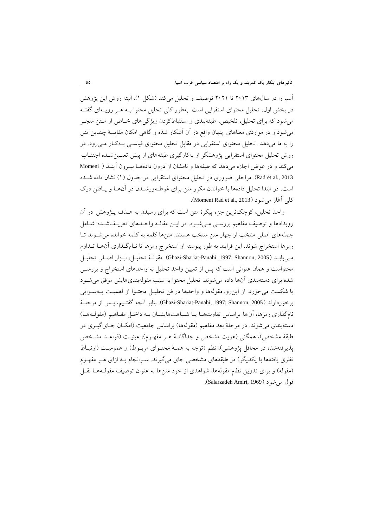آسیا را در سالهای 2013 تا 2021 توصیف و تحلیل میکند )شکل 1(. البته روش این پژوهش در بخش اول، تحلیل محتوای استقرایی است. بهطور کلی تحلیل محتوا بهه ههر رویهه ای گفتهه میشود که برای تحلیل، تلخیص، طبقهبندی و استنباطکردن ویژگیهای خهاص از مهتن منجهر میشود و در مواردی معناهای پنهان واقع در آن آشکار شده و گاهی امکان مقایسۀ چندین متن را به ما میدهد. تحلیل محتوای استقرایی در مقابل تحلیل محتوای قیاسهی بهه کهار مهی رود. در روش تحلیل محتوای استقرایی پژوهشگر از بهکارگیری طبقههای از پیش تعیهین شهده اجتنهاب میکند و در عوض اجازه میدهد که طبقهها و نامشان از درون دادههها بیهرون آینهد ) Momeni 2013 .Rad et al). مراحلی ضروری در تحلیل محتوای استقرایی در جدول (1) نشان داده شـده است. در ابتدا تحلیل دادهها با خواندن مکرر متن برای غوطـهورشـدن در آنهـا و یـافتن درک .)Momeni Rad et al., 2013( میشود آغاز کلی

واحد تحلیل**،** کوچکترین جزء پیکرۀ متن است که برای رسیدن به ههدف پهژوهش در آن رویدادها و توصیف مفاهیم بررسبی میشود. در ایـن مقالـه واحـدهای تعریـفشـده شـامل جملههای اصلی منتخب از چهار متن منتخب هستند. متنها کلمه به کلمه خوانده میشهوند تها رمزها استخراج شوند. این فرایند به طور پیوسته از استخراج رمزها تا نهام گهذاری آنهها تهداوم مهی یابهد )2005 ,Shannon; 1997 ,Panahi-Shariat-Ghazi). مقولهۀ تحلیهل، ابهزار اصهلی تحلیهل محتواست و همان عنوانی است که پس از تعیین واحد تحلیل به واحدهای استخراج و بررسهی شده برای دستهبندی آنها داده میشوند. تحلیل محتوا به سبب مقولهبندیهایش موفق مىشهود یا شکست می خورد. از این رو، مقولهها و واحدها در فن تحلیـل محتـوا از اهمیـت بـهسـزایی برخوردارند (2005 ,Ghazi-Shariat-Panahi, 1997; Shannon, بنابر آنچه گفتـيم، پــس از مرحلــهٔ نامگذاری رمزها، آن ها براساس تفاوتهما یـا شـباهتهایشـان بـه داخـل مفـاهیم (مقولـههـا) دستهبندی می شوند. در مرحلۀ بعد مفاهیم (مقولهها) براساس جامعیت (امکـان جـایگیــری در طبقۀ مشخص)، همگنی (هویت مشخص و جداگانـۀ هـر مفهـوم)، عینیـت (قواعـد مشـخص پذیرفتهشده در محافل پژوهشی)، نظم (توجه به همـۀ محتـوای مربـوط) و عمومیـت (ارتبـاط نظری یافتهها با یکدیگر ) در طبقههای مشخصی جای می گیرند. سـرانجام بـه ازای هـر مفهـوم (مقوله) و برای تدوین نظام مقولهها، شواهدی از خود متن ها به عنوان توصیف مقولـههـا نقــل قول می شود (Salarzadeh Amiri, 1969).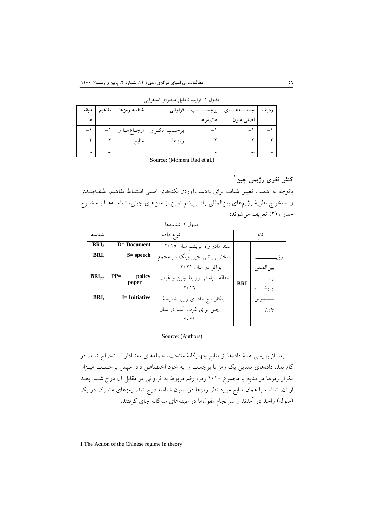|                                                                                          | مفاهيم   طبقه- | شناسه رمزها | فراواني                      | برچســ   | رديف   جملــــهــــای |          |  |  |  |  |
|------------------------------------------------------------------------------------------|----------------|-------------|------------------------------|----------|-----------------------|----------|--|--|--|--|
| ها                                                                                       |                |             |                              | ها/رمزها | اصلی متون             |          |  |  |  |  |
|                                                                                          |                |             | برحسب تكـرار   ارجــاعهــا و |          |                       |          |  |  |  |  |
|                                                                                          |                | منابع       | رمزها                        |          |                       |          |  |  |  |  |
| $\cdots$                                                                                 | $\cdots$       |             |                              |          |                       | $\cdots$ |  |  |  |  |
| $\mathcal{C}_{\text{oumon}}(\mathcal{M}_{\text{oumon}}, \mathcal{D}_{\text{od}})$ at all |                |             |                              |          |                       |          |  |  |  |  |

جدول .1 فرایند تحلیل محتوای استقرایی

Source: (Momeni Rad et al.)

# **1 كنش نظري رژیمی چين**

باتوجه به اهمیت تعیین شناسه برای بهدستآوردن نکتههای اصلی استنباط مفاهیم، طبقــهبنــدی و استخراج نظریۀ رژیمهای بین|لمللی راه ابریشم نوین از متن۵ای چینی، شناسـههـا بــه شــرح جدول (٢) تعریف می شوند:

| شناسه            |                           | نام                           |            |             |
|------------------|---------------------------|-------------------------------|------------|-------------|
| BRI <sub>d</sub> | $D = Document$            | سند مادر راه ابریشم سال ۲۰۱۵  |            |             |
| BRI <sub>c</sub> | S= speech                 | سخنرانی شی جین پینگ در مجمع   |            |             |
|                  |                           | بوآئو در سال ۲۰۲۱             |            | س∙,المللے,  |
| $BRI_{pp}$       | $PP =$<br>policy<br>paper | مقاله سیاستی روابط چین و غرب  | <b>BRI</b> | ر اه        |
|                  |                           | ۲۰۱٦                          |            | ابر يشـ     |
| BRI <sub>I</sub> | <b>I</b> = Initiative     | ابتكار پنج مادهاى وزير خارجهٔ |            | نـــــــوين |
|                  |                           | چین برای غرب اّسیا در سال     |            | چين         |
|                  |                           | ۲۰۲۱                          |            |             |

# جدول ٢. شناسهها

#### Source: (Authors)

بعد از بررسی همۀ دادهها از منابع چهارگانۀ منتخب، جملههای معنهادار اسهتخراج شهد. در گام بعد، دادههای معنایی یک رمز یا برچسب را به خود اختصاص داد. سپس برحسهب میهزان تکرار رمزها در منابع با مجموع 1020 رمز، رقم مربوط به فراوانی در مقابل آن درج شهد. بعهد از آن، شناسه یا همان منابع مورد نظر رمزها در ستون شناسه درج شد، رمزهای مشترک در یک (مقوله) واحد در آمدند و سرانجام مقولها در طبقههای سهگانه جای گرفتند.

<sup>1</sup> The Action of the Chinese regime in theory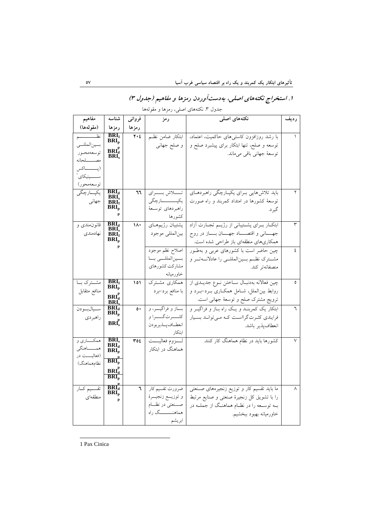#### جدول .3 نکتههای اصلی، رمزها و مقولهها **ردیف نکتههاي اصلی رمز فروانی** رمزها<br>**۲**۰٤ **شناسه رمزها مفاهيم )مقولهها(** 1 با رشد روزافزون کاستیهای حاکمیت، اعتماد، ابتکار ضامن نظهم نوسعه و صلح، تنها ابتکار برای پیشبرد صلح و | و صلح جهانی توسعۀ جهانی باقی میماند.  $BRI<sub>I</sub>$ **BRI<sup>p</sup>**  $\text{BRI}_d^p$ **BRI<sup>s</sup>** نظههههههههههم بسینالمللسی توسعهمحهور مصهههههلحانه )پهههههههاکس ســـــینیکای ٔ توسعهمحور( ۲ باید تلاش۵هایی بـــرای یکپــارچگی راهبردهــای توسعۀ کشورها در امتداد کمربند و راه صورت گیرد. | تــــــلاش بـــــرای یکپــــــــــارچگی راهبردهای توسهعۀ کشورها **BRI<sup>d</sup> <sup>66</sup> BRI<sup>s</sup> BRI<sup>I</sup> BRI<sup>p</sup> p** یکپــارچگ*ی* جهانی 3 ابتکهار بههرای پشهتیبانی از رژیههم تجههارت آزاد جههانی و اقتصهاد جههان بههاز در روح همکاریهای منطقهای باز طراحی شده است. پشتیبان رژیمههای بینالمللی موجود **BRI**<sub>d</sub> 11. **BRI<sup>I</sup> BRI<sup>p</sup> p** قانونمندی و نهادمندی 4 چین حاضر است با کشورهای عربی و بهطهور مشمترک نظم بسینالمللسی را عادلانسهتمر و منصفانهتر کند. اصالح نظم موجود بسینالمللسی بسا مشارکت کشورهای خاورمیانه 5 چین فعاالنه بهدنبهال سهاختن نهوع جدیهدی از روابط بین الملل، شامل همکاری بهرد-بهرد و ترویج مشترک صلح و توسعۀ جهانی است. همکاری مشترک با منافع برد-برد  $\begin{bmatrix} \text{BRI}_{\text{I}} \\ \text{BRI}_{\text{p}} \end{bmatrix}$  **101**  $\mathbf{B}\mathbf{R}\mathbf{I}_{d}^{\mathbf{p}}$ **BRI<sup>s</sup>** مشـترک بــا منافع متقابل 6 ابتکار یک کمربنهد و یهک راه بهاز و فراگیهر و فرایندی کثرت گرااست که می توانـد بسـیار انعطافپذیر باشد. بساز و فراگیسر، و کثـــــــرا و انعطـافپـذیربودن ابتکار  $\frac{\text{BRI}_d}{\text{BRI}_d}$   $\qquad \circ \cdot$ **BRI<sup>p</sup> p BRI<sup>s</sup>** سهالبودن راهبردی 7 کشورها باید در نظام هماهنگ کار کنند. لهههزوم فعالیهههت هماهنگ در ابتکار  $BRI_s$  **354 BRI<sup>d</sup> BRI<sup>p</sup>**  $\overline{\mathbf{BRI}}^{\text{p}}_{\text{p}}$ همکــــاری و همـــــاهنگی (فعالیــــت در نظامهماهنگ)  $\mathbf{BRI}_{\mathbf{d}}^{\mathbf{p}}$ **BRI<sup>p</sup> p BRI<sup>d</sup> <sup>6</sup>** 8 ما باید تقسیم کار و توزیع زنجیرههای صهنعتی را با تشویق کل زنجیرۀ صنعتی و صنایع مرتبط بهه توسهعه را در نظهام هماهنهگ از جملهه در خاورمیانه بهبود ببخشیم. ضرورت تقسیم کار و توزیههع زنجیههرۀ صــنعتی در نظــام هماهنــــــــگ راه **BRI<sup>p</sup> p** تقسـیم کــار منطقهای

ابریشم

**.1 استخراج نکتههاي اصلی، بهدستآوردن رمزها و مفاهيم )جدول 3(**

-1 Pax Cinica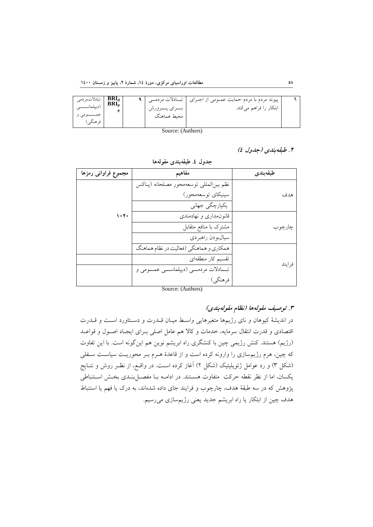| تبادلاتمردمى<br>ِدييلماســـــ<br>فرهنگے) | BRI <sub>a</sub> <sub>n</sub> |  | ا بسراي پسرورش<br>محىط هماهنگ | پیوند مردم با مردم حمایت عمـومی از اجـرای   تبــادلات مردمــی<br>ابتکار را فراهم میکند. |  |  |  |
|------------------------------------------|-------------------------------|--|-------------------------------|-----------------------------------------------------------------------------------------|--|--|--|
| Source: (Authors)                        |                               |  |                               |                                                                                         |  |  |  |

**.2 طبقهبندي )جدول 4(**

| مجموع فراوانى رمزها | مفاهيم                                     | طبقەبندى |
|---------------------|--------------------------------------------|----------|
|                     | نظم بينالمللي توسعهمحور مصلحانه (پـاكس     |          |
|                     | سينيكاي توسعهمحور)                         | هدف      |
|                     | یکپارچگی جهانی                             |          |
| ۱۰۲۰                | قانون مداری و نهادمندی                     |          |
|                     | مشترک با منافع متقابل                      | چارچو ب  |
|                     | سيالبودن راهبردي                           |          |
|                     | همکاري و هماهنگي (فعاليت در نظام هماهنگ    |          |
|                     | تقسیم کار منطقهای                          | فر ايند  |
|                     | تبــادلات مردمـــي (ديپلماســـي عمـــومي و |          |
|                     | فرهنگي)                                    |          |

**جدول .4 طبقهبندي مقولهها**

Source: (Authors)

**.3 توصيف مقولهها )نظام مقولهبندي(**

در اندیشۀ کیوهان و نای رژیمها متغیرهایی واسط میـان قـدرت و دسـتاورد اسـت و قـدرت اقتصادی و قدرت انتقال سرمایه، خدمات و کاال هم عامل اصلی بهرای ایجهاد اصهول و قواعهد (رژیم) هستند. کنش رژیمی چین با کنشگری راه ابریشم نوین هم اینگونه است. با این تفاوت که چین، هرم رژیمسازی را وارونه کرده است و از قاعدۀ ههرم بهر محوریهت سیاسهت سهفلی )شکل 3( و رد عوامل ژئوپلیتیک )شکل 2( آغاز کرده اسهت. در واقهع، از نظهر روش و نتهایج یکسان، اما از نظر نقطه حرکت متفاوت هسـتند. در ادامـه بـا مفصـلبنـدی بخـش اسـتنباطی پژوهش که در سه طبقۀ هدف، چارچوب و فرایند جای داده شدهاند، به درک یا فهم یا استنباط هدف چین از ابتکار یا راه ابریشم جدید یعنی رژیمسازی میرسیم.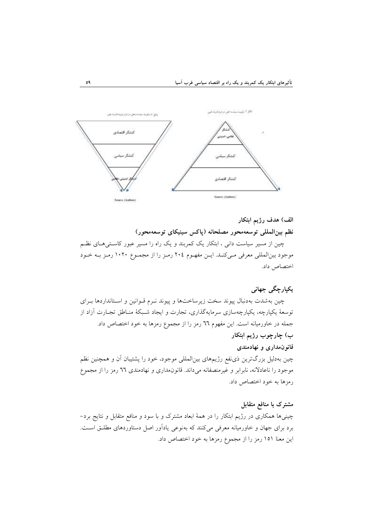

**الف( هدف رژیم ابتکار نظم بينالمللی توسعهمحور مصلحانه )پاكس سينيکاي توسعهمحور(** چین از مسیر سیاست دانی ، ابتکار یک کمربند و یک راه را مسیر عبور کاسهتی ههای نظهم موجود بینالمللی معرفی مهی کنهد. ایهن مفههوم 204 رمهز را از مجمهوع 1020 رمهز بهه خهود اختصاص داد.

# **یکپارچگی جهانی**

چین بهشدت بهدنبال پیوند سخت زیرساختها و پیوند نـرم قـوانین و اسـتانداردها بـرای توسعۀ یکپارچه، یکپارچهسازی سرمایهگذاری، تجارت و ایجاد شـبکۀ منـاطق تجـارت آزاد از جمله در خاورمیانه است. این مفهوم 66 رمز را از مجموع رمزها به خود اختصاص داد. **ب( چارچوب رژیم ابتکار**

# **قانونمداري و نهادمندي**

چین بهدلیل بزرگترین ذینفع رژیمهای بینالمللی موجود، خود را پشتیبان آن و همچنین نظم موجود را ناعادالنه، نابرابر و غیرمنصفانه میداند. قانونمداری و نهادمندی 66 رمز را از مجموع رمزها به خود اختصاص داد.

**مشترک با منافع متقابل** چینیها همکاری در رژیم ابتکار را در همۀ ابعاد مشترآ و با سود و منافع متقابل و نتایج برد- برد برای جهان و خاورمیانه معرفی میکنند که بهنوعی یادآور اصل دستاوردهای مطلهق اسهت. این معنا 151 رمز را از مجموع رمزها به خود اختصاص داد.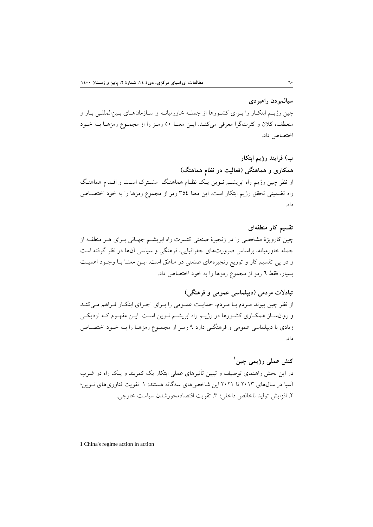**سيالبودن راهبردي** چین رژیـم ابتکـار را بـرای کشـورها از جملـه خاورمیانـه و سـازمانهـای بـینالمللـی بـاز و منعطف، کالن و کثرتگرا معرفی میکنهد. ایهن معنها 50 رمهز را از مجمهوع رمزهها بهه خهود اختصاص داد.

**پ( فرایند رژیم ابتکار همکاري و هماهنگی )فعاليت در نظام هماهنگ(** از نظر چین رژیم راه ابریشـم نــوین یــک نظــام هماهنـگ ِ مشــترک اسـت و اقــدام هماهنـگ راه تضمینی تحقق رژیم ابتکار است. این معنا 354 رمز از مجموع رمزها را به خود اختصهاص داد.

**تقسيم كار منطقهاي** چین کارویژۀ مشخصی را در زنجیرۀ صنعتی کنسرت راه ابریشهم جههانی بهرای ههر منطقهه از جمله خاورمیانه، براساس ضرورتهای جغرافیایی، فرهنگی و سیاسی آنها در نظر گرفته است و در پی تقسیم کار و توزیع زنجیرههای صنعتی در مناطق است. ایـن معنـا بـا وجـود اهمیـت بسیار، فقط 6 رمز از مجموع رمزها را به خود اختصاص داد.

**تبادالت مردمی )دیپلماسی عمومی و فرهنگی(** از نظر چین پیوند مردم با مردم، حمایت عمـومی را بـرای اجـرای ابتکـار فـراهم مـیکنـد و روان ساز همکـاری کشـورها در رژیـم راه ابریشـم نـوین اسـت. ایــن مفهـوم کــه نزدیکــی زیادی با دیپلماسی عمومی و فرهنگهی دارد 9 رمهز از مجمهوع رمزهها را بهه خهود اختصهاص داد.

**1 كنش عملی رژیمی چين** در این بخش راهنمای توصیف و تبیین تأثیرهای عملی ابتکار یک کمربند و یهک راه در غهرب آسیا در سالهای 2013 تا 2021 این شاخصهای سهگانه هستند: .1 تقویت فناوریهای نهوین؛ .2 افزایش تولید ناخالص داخلی؛ .3 تقویت اقتصادمحورشدن سیاست خارجی.

<sup>1</sup> China's regime action in action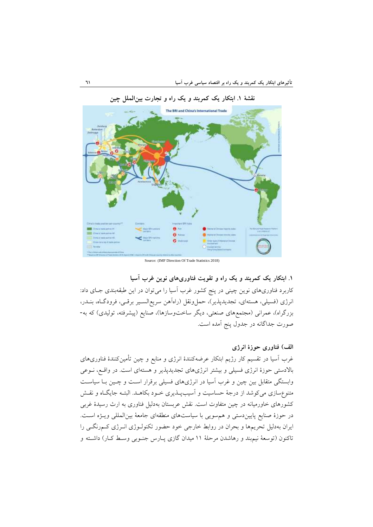

**نقشۀ .1 ابتکار یک كمربند و یک راه و تجارت بينالملل چين**

Source: (IMF Direction Of Trade Statistics 2018)

**.1 ابتکار یک كمربند و یک راه و تقویت فناوريهاي نوین غرب آسيا**  کاربرد فناوریهای نوین چینی در پنج کشور غرب آسیا را میتوان در این طبقهبندی جهای داد: انرژی (فسیلی، هستهای، تجدیدپذیر)، حملونقل (راهآهن سریعالسـیر برقـی، فرودگـاه، بنــدر، بزرگراه)، عمرانی (مجتمعهای صنعتی، دیگر ساختوسازها)، صنایع (پیشرفته، تولیدی) که به-صورت جداگانه در جدول پنج آمده است.

**الف( فناوري حوزة انرژي**

غرب آسیا در تقسیم کار رژیم ابتکار عرضهکنندۀ انرژی و منابع و چین تأمینکنندۀ فناوریهای باالدستی حوزۀ انرژی فسیلی و بیشتر انرژیهای تجدیدپذیر و هستهای است. در واقهع، نهوعی وابستگی متقابل بین چین و غرب آسیا در انرژیهای فسیلی برقرار اسهت و چهین بها سیاسهت متنوع سازی میکوشد از درجۀ حساسیت و آسیبپذیری خـود بکاهـد. البتـه جایگـاه و نقـش کشورهای خاورمیانه در چین متفاوت است. نقش عربستان بهدلیل فناوری به ارث رسیدۀ غربی در حوزۀ صنایع پاییندستی و همسویی با سیاستهای منطقهای جامعۀ بینالمللی ویهژه اسهت. ایران بهدلیل تحریمها و بحران در روابط خارجی خود حضور تکنولهوژی انهرژی کهم رنگهی را تاکنون (توسعۀ نیمبند و رهاشدن مرحلۀ ١١ میدان گازی پـارس جنـوبی وسـط کـار) داشـته و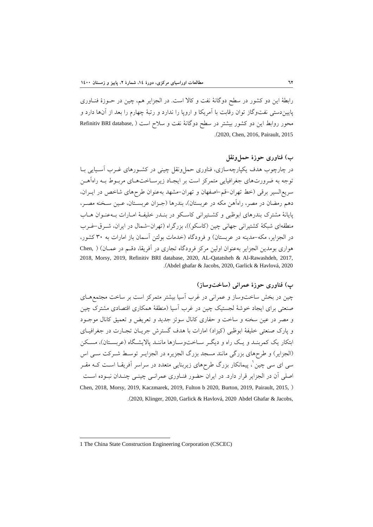رابطۀ این دو کشور در سطح دوگانۀ نفت و کالا است. در الجزایر هم، چین در حــوزۀ فنــاوری پاییندستی نفتوگاز توان رقابت با آمریکا و اروپا را ندارد و رتبۀ چهارم را بعد از آنها دارد و محور روابط این دو کشور بیشتر در سطح دوگانۀ نفت و سلاح است ( ,Refinitiv BRI database .)2020, Chen, 2016, Pairault, 2015

# **ب( فناوري حوزة حملونقل**

در چارچوب هدف یکپارچهسازی، فناوری حمل ونقل چینی در کشـورهای غـرب آسـیایی بـا توجه به ضرورتهای جغرافیایی متمرکز است بر ایجهاد زیرسهاخت ههای مربهوط بهه راهآههن سریعالسیر برقی )خط تهران-قم-اصفهان و تهران-مشهد بهعنوان طرحهای شاخص در ایهران، دهم رمضان در مصر، راهآهن مکه در عربستان)، بندرها (جـزان عربسـتان، عـين سـخنه مصـر، پایانۀ مشترک بندرهای ابوظبی و کشـتیرانی کاسـکو در بنـدر خلیفـۀ امـارات بـهعنـوان هــاب منطقهای شبکۀ کشتیرانی جهانی چین (کاسکو ))، بزرگراه (تهران-شمال در ایران، شـرق-غـرب در الجزایر، مکه-مدینه در عربستان) و فرودگاه (خدمات بولتن آسمان باز امارات به ٣٠ کشور، هواری بومدین الجزایر بهعنوان اولین مرکز فرودگاه تجاری در آفریقا، دقهم در عمهان( ) ,Chen 2018, Morsy, 2019, Refinitiv BRI database, 2020, AL-Qatatsheh & Al-Rawashdeh, 2017, .)Abdel ghafar & Jacobs, 2020, Garlick & Havlová, 2020

# **پ( فناوري حوزة عمرانی )ساختوساز(**

چین در بخش ساختوساز و عمرانی در غرب آسیا بیشتر متمرکز است بر ساخت مجتمعههای صنعتی برای ایجاد خوشۀ لجستیک چین در غرب آسیا (منطقۀ همکاری اقتصادی مشترک چین و مصر در عین سخنه و ساخت و حفاری کانال سوئز جدید و تعریض و تعمیق کانال موجهود و پارک صنعتی خلیفۀ ابوظبی (کیزاد) امارات با هدف گسترش جریـان تجـارت در جغرافیــای ابتکار یک کمربنـد و یـک راه و دیگـر سـاخت1وسـازها ماننـد پالایشـگاه (عربسـتان)، مسـکن (الجزایر) و طرحهای بزرگی مانند مسجد بزرگ الجزیره در الجزایـر توسـط شـرکت سـبی اس 1 سی ای سی چین ، پیمانکار بزرگ طرحهای زیربنایی متعدد در سراسر آفریقها اسهت کهه مقهر اصلی آن در الجزایر قرار دارد. در ایران حضور فنهاوری عمرانهی چینهی چنهدان نبهوده اسهت Chen, 2018, Morsy, 2019, Kaczmarek, 2019, Fulton b 2020, Burton, 2019, Pairault, 2015, ( .)2020, Klinger, 2020, Garlick & Havlová, 2020 Abdel Ghafar & Jacobs,

<sup>1</sup> The China State Construction Engineering Corporation (CSCEC)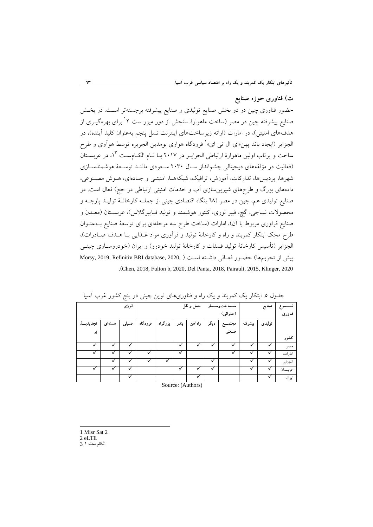# **ت( فناوري حوزه صنایع** حضور فناوری چین در دو بخش صنایع تولیدی و صنایع پیشرفته برجستهتر اسهت. در بخهش صنایع پیشرفته چین در مصر (ساخت ماهوارۀ سنجش از دور میزر ست ۲ ٔبرای بهرهگیــری از هدفهای امنیتی)، در امارات (ارائه زیرساختهای اینترنت نسل پنجم بهعنوان کلید آینده)، در لجزایر (ایجاد باند پهن«ای ال ت<sub>ی</sub> ای»<sup>۲</sup> فرودگاه هواری بومدین الجزیره توسط هوآوی و طرح ساخت و پرتاب اولین ماهوارۀ ارتباطی الجزایــر در ۲۰۱۷ بــا نــام الکــامســت ۱<sup>۲</sup>، در عربســتان )فعالیت در مؤلفههای دیجیتالی چشمانداز سهال 2030 سهعودی ماننهد توسهعۀ هوشمندسهازی شهرها، پردیسها، تدارکات، آموزش، ترافیک، شبکههـا، امنیتـی و جـادهای، هــوش مصــنوعی، دادههای بزرگ و طرحهای شیرینسازی آب و خدمات امنیتی ارتباطی در حج( فعال است. در صنایع تولیدی هم، چین در مصر )68 بنگاه اقتصادی چینی از جملهه کارخانهۀ تولیهد پارچهه و محصوالت نساجی، گچ، فیبر نوری، کنتور هوشمند و تولید فهایبرگالس(، عربسهتان ) معهدن و صنایع فراوری مربوط با آن)، امارات (ساخت طرح سه مرحلهای برای توسعۀ صنایع بــهعنــوان طرح محک ابتکار کمربند و راه و کارخانۀ تولید و فرآوری مواد غـذایی بـا هـدف صـادرات)، الجزایر (تأسیس کارخانۀ تولید فسفات و کارخانۀ تولید خودرو) و ایران (خودروسـازی چینــی پیش از تحریمها) حضور فعـالی داشـته اسـت ( Morsy, 2019, Refinitiv BRI database, 2020, .)Chen, 2018, Fulton b, 2020, Del Panta, 2018, Pairault, 2015, Klinger, 2020

| . .        |        | ` ت       |         |         |               |          |       | $\tilde{\phantom{a}}$ |         |        |         |
|------------|--------|-----------|---------|---------|---------------|----------|-------|-----------------------|---------|--------|---------|
| انرژی      |        | حمل و نقل |         |         | ﺎﺧﺖﻭﺳــــاز   |          | صنايع |                       |         |        |         |
|            |        |           |         |         |               | (عمراني) |       |                       |         | فناورى |         |
| تجديدپـــذ | هستهای | فسيلى     | فرودگاه | بزرگراه | بندر          | راءاهن   | دیگر  | مجتم                  | پيشرفته | توليدي |         |
| یر         |        |           |         |         |               |          |       | صنعتى                 |         |        |         |
|            |        |           |         |         |               |          |       |                       |         |        | كشور    |
| ✓          | ✓      | ✓         |         |         | ✓             | v        | ✓     |                       | v       | ✔      | مصر     |
| ✓          | √      | ✓         | ✓       |         | ✓             |          |       | ✓                     | ✓       | ✓      | امارات  |
|            |        | ✓         |         |         |               |          | ✓     |                       |         | ✔      | الجزاير |
|            |        | ✓         |         |         | ✓             |          | ✓     |                       |         | ✓      | عربستان |
|            |        | ✓         |         |         | $\sim$ $\sim$ | ✓        |       |                       |         | ✓      | ايران   |

جدول ٥. ابتکار یک کمربند و یک راه و فناوریهای نوین چینی در پنج کشور غرب آسیا

Source: (Authors)

- **.** 1 Misr Sat 2
- 2 eLTE
- الکام ست 1 3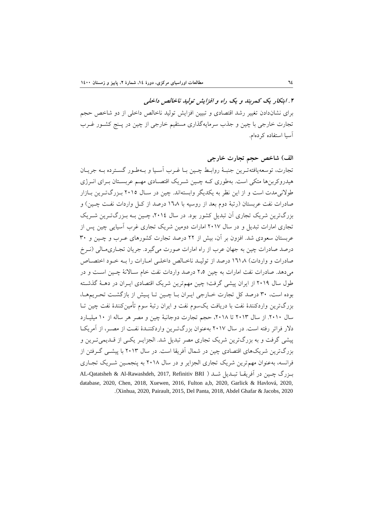**.2 ابتکار یک كمربند و یک راه و افزایش توليد ناخالص داخلی** برای نشاندادن تغییر رشد اقتصادی و تبیین افزایش تولید ناخالص داخلی از دو شاخص حجم تجارت خارجی با چین و جذب سرمایهگذاری مستقیم خارجی از چین در پهنج کشهور غهرب آسیا استفاده کردهام.

# **الف( شاخص حجم تجارت خارجی** تجارت، توسعهیافتهترین جنبـهٔ روابـط چـین بـا غـرب آسـیا و بـهطـور گسـترده بـه جریـان هیدروکربن ها متکی است. بهطوری کـه چـین شـر یک اقتصـادی مهـم عربسـتان بـرای انــرژی طوالنیمدت است و از این نظر به یکدیگر وابستهاند. چین در سهال 2015 بهزرگ تهرین بهازار صادرات نفت عربستان (رتبۀ دوم بعد از روسیه با ۱٦،۸ درصد از کـل واردات نفـت چـین) و بزرگترین شریک تجاری آن تبدیل کشور بود. در سال ۲۰۱٤، چـین بـه بـزرگتـرین شـریک تجاری امارات تبدیل و در سال 2017 امارات دومین شریک تجاری غرب آسیایی چین پس از عربستان سعودی شد. افزون بر آن، بیش از 22 درصد تجارت کشورهای عهرب و چه ین و 30 درصد صادرات چین به جهان عرب از راه امارات صورت می گیرد. جریان تجـاری مـالی (نـرخ صادرات و واردات) ۱۳۱۸ درصد از تولیـد ناخـالص داخلـی امـارات را بـه خـود اختصـاص می دهد. صادرات نفت امارات به چین ٢،٥ درصد واردات نفت خام سـالانۀ چــین اسـت و در طول سال 2019 از ایران پیشی گرفت؛ چین مهمترین شریک اقتصادی ایه ران در دههۀ گذشهته بوده است، ٣٠ درصد کل تجارت خـارجي ايـران بـا چـين تـا پـيش از بازگشـت تحـريمهـا، بزرگترین واردکنندۀ نفت با دریافت یکسوم نفت و ایران رتبۀ سوم تأمینکنندۀ نفت چین تها سال ۲۰۱۰. از سال ۲۰۱۳ تا ۲۰۱۸، حجم تجارت دوجانبۀ چین و مصر هر ساله از ۱۰ میلیـارد دالر فراتر رفته است. در سال 2017 بهعنوان بزرگتهر ین واردکننهد ۀ نفهت از مصهر، از آمریکها پیشی گرفت و به بزرگترین شریک تجاری مصر تبدیل شد. الجزایهر یکهی از قهدیمی تهرین و بزرگترین شریکهای اقتصادی چین در شمال آفریقا است. در سال 2013 با پیشهی گهرفتن از فرانسه، بهعنوان مهمترین شریک تجاری الجزایر و در سال 2018 به پنجمهین شهریک تجهاری بهزرگ چهین در آفریقـا تبـدیل شــد ( AL-Qatatsheh & Al-Rawashdeh, 2017, Refinitiv BRI database, 2020, Chen, 2018, Xuewen, 2016, Fulton a,b, 2020, Garlick & Havlová, 2020, .)Xinhua, 2020, Pairault, 2015, Del Panta, 2018, Abdel Ghafar & Jacobs, 2020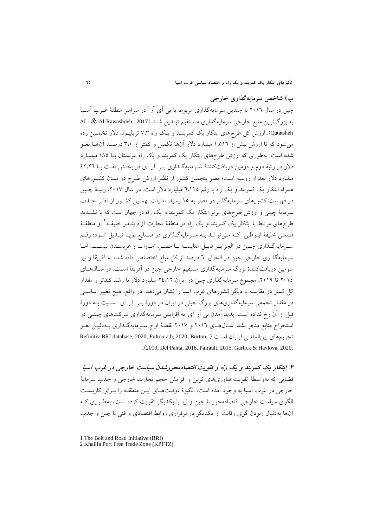**ب( شاخص سرمایهگ اري خارجی** چین در سال 2016 با چندین سرمایهگذاری مربوط با بی آی آر 1 در سراسر منطقۀ غهرب آسهیا به بزرگترین منبع خارجی سرمایهگذاری مستقیم تبـدیل شـد (AL- & Al-Rawashdeh, 2017 Qatatsheh). ارزش کل طرحهای ابتکار یک کمربنهد و یهک راه 7،3 تریلیه ون دالر تخمه ین زده میشود که تا ارزش بیش از 1،516 میلیارد دالر آنها تکمیل و کمتر از 3،0 درصهد آن هها لغهو شده است. بهطوری که ارزش طرحهای ابتکار یک کمربند و یک راه عربستان بها 185 میلیه ارد دلار در رتبۀ دوم و دومین دریافتکنندۀ سرمایهگذاری بـی آر آی در بخـش نفـت بـا ٤٢،٢٦ میلیارد دالر بعد از روسیه است؛ مصر پنجمین کشور از نظهر ارزش طهرح در میهان کشهورهای همراه ابتکار یک کمربند و یک راه با رقم ٦،١١٥ میلیارد دلار است. در سال ٢٠١٧، رتبـهٔ چـین در فهرست کشورهای سرمایهگذار در مصر به 15 رسید. امارات نهمهین کشهور از نظهر جهذب سرمایۀ چینی و ارزش طرحهای برتر ابتکار یک کمربند و یک راه در جهان است که با تشهدید طرحهای مرتبط با ابتکار یک کمربند و یک راه در منطقۀ تجارت آزاد بنــدر خلیفــه ٔ و منطقــهٔ صنعتی خلیفۀ ابــوظبی کـه مــیتوانــد بــه ســرمایهگــذاری در صــنایع نوپــا تبــدیل شــود؛ رقــم سرمایهگذاری چهین در الجزایهر قابیل مقایسه بیا مصبر، امبارات و عربستان نیست، امبا سرمایهگذاری خارجی چین در الجزایر 6 درصد از کل مبلغ اختصاص داده شده به آفریقا و نیز سومین دریافتکنندۀ بزرگ سرمایهگذاری مستقیم خارجی چین در آفریقا اسهت. در سهال ههای 2014 تا ،2019 مجموع سرمایهگذاری چین در ایران 24،12 میلیارد دالر با رشد کندتر و مقدار کل کمتر در مقایسه با دیگر کشورهای غرب آسیا را نشان میدهد. در واقع، هیچ تغییر اساسه ی در مقدار تجمعی سرمایهگذاریهای بزرگ چینی در ایران در دورۀ بهی آر آی نسهبت بهه دور ۀ قبل از آن رخ نداده است. پدید آمدن بی آر آی به افزایش سرمایهگذاری شرکتهای چینه ی در استخراج منابع منجر نشد. سـالهـای ٢٠١٦ و ٢٠١٧ نقطـۀ اوج سـرمايهگـذاری بـهدليـل لغـو Refinitiv BRI database, 2020, Fulton a,b, 2020, Burton, ( اسهت ران ایه بینالمللهی تحریمهای .)2019, Del Panta, 2018, Pairault, 2015, Garlick & Havlová, 2020,

**.3 ابتکار یک كمربند و یک راه و تقویت اقتصادمحورشدن سياست خارجی در غرب آسيا** فضایی که بهواسطۀ تقویت فناوریهای نوین و افزایش حجم تجارت خارجی و جذب سرمایۀ خارجی در غرب آسیا به وجود آمده است، انگیزۀ دولـتهـای ایــن منطقــه را بــرای کاربســت الگوی سیاست خارجی اقتصادمحور با چین و نیز با یکدیگر تقویت کرده است، بهطهوری کهه آنها بهدنبال ربودن گوی رقابت از یکدیگر در برقراری روابط اقتصادی و فنی با چین و جذب

<sup>1</sup> The Belt and Road Initiative (BRI)

<sup>2</sup> Khalifa Port Free Trade Zone (KPFTZ)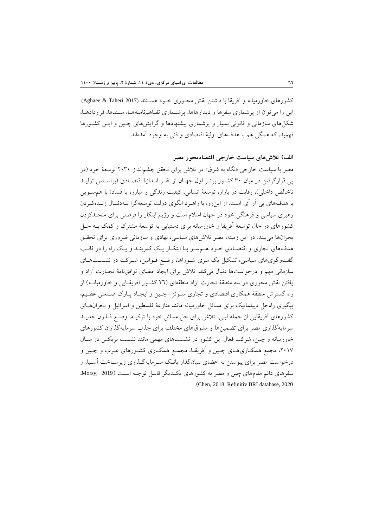کشورهای خاورمیانه و آفریقا با داشتن نقش محـوری خـود هسـتند (2017 Aghaee & Taheri). این را میتوان از پرشماری سفرها و دیدارهاها، پرشـماری تفـاهمنامـههـا، سـندها، قراردادهـا، شکل های سازمانی و قانونی بسیار و پرشماری پیشنهادها و گرایش های چهین و ایس کشورها فهمید، که همگی هم با هدفهای اولیۀ اقتصادی و فنی به وجود آمدهاند.

**الف( تالشهاي سياست خارجی اقتصادمحور مصر**

مصر با سیاست خارجی «نگاه به شرق» در تلاش برای تحقق چشم|نداز ۲۰۳۰ توسعۀ خود (در پی قرارگرفتن در میان ٣٠ کشـور برتـر اول جهـان از نظـر انـدازهٔ اقتصـادی (براسـاس توليـد ناخالص داخلی)، رقابت در بازار، توسعۀ انسانی، کیفیت زندگی و مبارزه با فساد) با هم سویی با هدفهای بی آر آی است. از اینرو، با راهبرد الگوی دولت توسعهگرا بهه دنبهال زنهده کهردن رهبری سیاسی و فرهنگی خود در جهان اسالم است و رژیم ابتکار را فرصتی برای متحهدکردن کشورهای در حال توسعۀ آفریقا و خاورمیانه برای دستیابی به توسعۀ مشترآ و کمک بهه حهل بحرانها میبیند. در این زمینه، مصر تالشهای سیاسی، نهادی و سازمانی ضروری برای تحقهق هدفهای تجاری و اقتصهادی خهود ههم سهو بها ابتکهار یهک کمربنهد و یهک راه را در قالهب گفتوگویهای سیاسی، تشکیل یک سری شـوراها، وضـع قـوانین، شـرکت در نشسـتهـای سازمانی مهم و درخواستها دنبال میکند. تالش برای ایجاد امضای توافقنامۀ تجهارت آزاد و یافتن نقش محوری در سه منطقۀ تجارت آزاد منطقهای (٢٦ کشـور آفریقـایی و خاورمیانـه) از راه گسترش منطقۀ همکاری اقتصادی و تجاری سـوئز- چـین و ایجـاد پـارک صـنعتی عظـیم، پیگیری راهحل دیپلماتیک برای مسائل خاورمیانه مانند منازعۀ فلسطین و اسرائیل و بحرانههای کشورهای آفریقایی از جمله لیبی، تالش برای حل مسائل خود با ترکیهه، وضهع قهانون جد یه د سرمایهگذاری مصر برای تضمینها و مشو های مختلف برای جذب سرمایهگذاران کشورهای خاورمیانه و چین، شرکت فعال این کشور در نشستهای مهمی مانند نشست بریکس در سهال ۲۰۱۷، مجمع همکـاریهـای چـین و آفریقـا، مجمـع همکـاری کشـورهای عـرب و چـین و درخواست مصر برای پیوستن به اعضای بنیانگذار بانـک سـرمایهگـذاری زیرسـاخت آسـیا، و سفرهای دائم مقامهای چین و مصر به کشورهای یکهدیگر قابهل توجهه اسهت )2019 ,Morsy، .)Chen, 2018, Refinitiv BRI database, 2020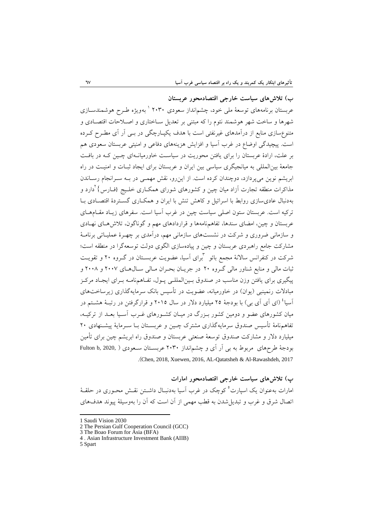**ب( تالشهاي سياست خارجی اقتصادمحور عربستان**  عربستان برنامههای توسعۀ ملی خود، چشم|نداز سعودی ۲۰۳۰ ٔ بهویژه طـرح هوشمندســازی شهرها و ساخت شهر هوشمند نئوم را که مبتنی بر تعدیل سهاختاری و اصهالحات اقتصهادی و متنوع سازی منابع از درآمدهای غیرنفتی است با هدف یکپـارچگی در بــی آر آی مطــرح کــرده است. پیچیدگی اوضاع در غرب آسیا و افزایش هزینههای دفاعی و امنیتی عربستان سعودی هم بر علت، ارادۀ عربستان را برای یافتن محوریت در سیاسهت خاورمیانهه ای چهین کهه در بافهت جامعۀ بینالمللی به میانجیگری سیاسی بین ایران و عربستان برای ایجاد ثبهات و امنیهت در راه ابریشم نوین میپردازد، دوچندان کرده است. از اینرو، نقش مهمهی در بهه سهرانجام رسهاندن مذاکرات منطقه تجارت اَزاد میان چین و کشورهای شورای همکـاری خلـیج {فــارس} ٰدارد و بهدنبال عادیسازی روابط با اسرائیل و کاهش تنش با ایران و همکهاری گسهتردۀ اقتصهادی بها ترکیه است. عربستان ستون اصلی سیاست چین در غرب آسیا است. سفرهای زیهاد مقهام ههای عربستان و چین، امضای سندها، تفاهمنامهها و قراردادهای مهم و گوناگون، تالشههای نههادی و سازمانی ضروری و شرکت در نشستهای سازمانی مهم، درآمدی بر چههرۀ عملیهاتی برنامهۀ مشارکت جامع راهبردی عربستان و چین و پیادهسازی الگوی دولت توسعهگرا در منطقه است؛ شرکت در کنفرانس سالانۀ مجمع بائو <sup>"</sup>برای آسیا، عضویت عربســتان در گــروه ۲۰ و تقویــت ثبات مالی و منابع شناور مالی گـروه ۲۰ در جریـان بحـران مـالی سـال۵هـای ۲۰۰۷ و ۲۰۰۸ و پیگیری برای یافتن وزن مناسب در صندوق بـین|لمللـی پـول، تفـاهمنامـه بـرای ایجـاد مرکـز مبادلات رنمینبی (یوان) در خاورمیانه، عضویت در تأسیس بانک سرمایهگذاری زیرساختهای 4 آسیا )ای آی آی بی( با بودجۀ 25 میلیارد دالر در سال 2015 و قرارگرفتن در رتبهۀ هشهتم در میان کشورهای عضو و دومین کشور بهزرگ در میهان کشهورهای غهرب آسهیا بعهد از ترکیهه، تفاهمنامۀ تأسیس صندوق سرمایهگذاری مشترک چـین و عربسـتان بــا ســرمایۀ پیشــنهادی ٢٠ میلیارد دالر و مشارکت صندو توسعۀ صنعتی عربستان و صندو راه ابریشم چین برای تأمین بودجۀ طرحهای مربوط به بی آر آی و چشمانداز ۲۰۳۰ عربسـتان سـعودی ( ,Fulton b, 2020 .)Chen, 2018, Xuewen, 2016, AL-Qatatsheh & Al-Rawashdeh, 2017

**پ( تالشهاي سياست خارجی اقتصادمحور امارات** مارات بهعنوان یک اسپارت<sup>ه</sup> کوچک در غرب اسیا بهدنبـال داشــتن نقــش محــوری در حلقــهٔ اتصال شر و غرب و تبدیلشدن به قطب مهمی از آن است که آن را بهوسیلۀ پیوند هدفهای

1

<sup>1</sup> Saudi Vision 2030

<sup>2</sup> The Persian Gulf Cooperation Council (GCC)

<sup>3</sup> The Boao Forum for Asia (BFA)

<sup>4</sup> . Asian Infrastructure Investment Bank (AIIB)

<sup>5</sup> Spart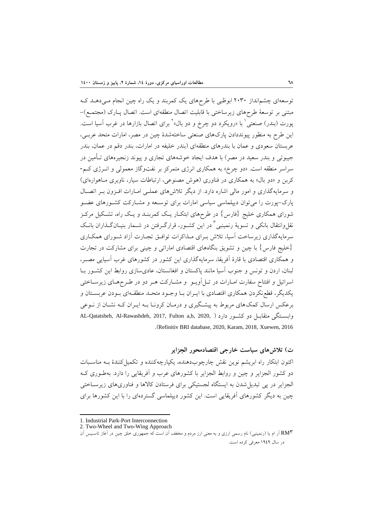توسعهای چشمانداز 2030 ابوظبی با طرحهای یک کمربند و یک راه چین انجام مهی دههد کهه مبتنی بر توسعۀ طرحهای زیرساختی با قابلیت اتصال منطقهای است. اتصال پـارک (مجتمـع)-پورت (بندر) صنعتی ٰ با «رویکرد دو چرخ و دو بال» ٰ برای اتصال بازارها در غرب آسیا است. این طرح به منظور پیونددادن پارآهای صنعتی ساختهشدۀ چین در مصر، امارات متحد عربهی ، عربستان سعودی و عمان با بندرهای منطقهای )بندر خلیفه در امارات، بندر دقم در عمان، بندر جیبوتی و بندر سعید در مصر) با هدف ایجاد خوشههای تجاری و پیوند زنجیرههای تـأمین در سراسر منطقه است. »دو چرخ» به همکاری انرژی متمرکز بر نفتوگاز معمولی و انهرژ ی کهم - کربن و «دو بال» به همکاری در فناوری (هوش مصنوعی، ارتباطات سیار، ناوبری مـاهوارهای) و سرمایهگذاری و امور مالی اشاره دارد. از دیگر تالشهای عملهی امهارات افهزون بهر اتصهال پارک-پورت را می توان دیپلماسی سیاسی امارات برای توسعه و مشـارکت کشـورهای عضـو شورای همکاری خلیج {فارس} در طرحهای ابتک|ر یـک کمربنـد و یـک راه، تشـکیل مرکـز نقلوانتقال بانکی و تسویهٔ رنمینبی<sup>۲</sup> در این کشـور، قرارگـرفتن در شـمار بنیـانگـذاران بانـک سرمایهگذاری زیرساخت آسیا، تالش بهرای مهذاکرات توافهق تجهارت آزاد شهورای همکهاری }خلیج فارس با چین و تشویق بنگاههای اقتصادی اماراتی و چینی برای مشارکت در تجارت و همکاری اقتصادی با قارۀ آفریقا، سرمایهگذاری این کشور در کشورهای غرب آسیایی مصهر، لبنان، اردن و تونس و جنوب آسیا مانند پاکستان و افغانستان، عادیسازی روابط این کشهور بها اسرائیل و افتتاح سفارت امـارات در تـل|آویــو و مشـارکت هــر دو در طــرحهـای زیرســاختی یکدیگر، قطع نکردن همکاری اقتصادی با ایـران بـا وجـود متحـد منطقـهای بـودن عربسـتان و برعکس ارسال کمکهای مربوط به پیشهگیری و درمهان کرونها بهه ایهران کهه نشهان از نهوعی AL-Qatatsheh, Al-Rawashdeh, 2017, Fulton a,b, 2020, ( دارد کشهور دو متقابهل وابسهتگی .)Refinitiv BRI database, 2020, Karam, 2018, Xuewen, 2016

**ت( تالشهاي سياست خارجی اقتصادمحور الجزایر** اکنون ابتکار راه ابریشم نوین نقش چارچوبدهنده، یکپارچهکننده و تکمیلکنندۀ بهه مناسهبات دو کشور الجزایر و چین و روابط الجزایر با کشورهای عرب و آفریقایی را دارد. بهطهوری کهه الجزایر در پی تبدیل شدن به ایستگاه لجستیکی برای فرستادن کالاها و فناوریهای زیرسـاختی چین به دیگر کشورهای آفریقایی است. این کشور دیپلماسی گستردهای را با این کشورها برای

1

<sup>1.</sup> Industrial Park-Port Interconnection

<sup>2.</sup> Two-Wheel and Two-Wing Approach

<sup>3</sup>RM آر ام یا )رنمینبی( نام رسمی ارزی و به معنی ارز مردم و مخفف آن است که جمهوری خلق چین در آغاز تاسهیس آن در سال 1949 معرفی کرده است.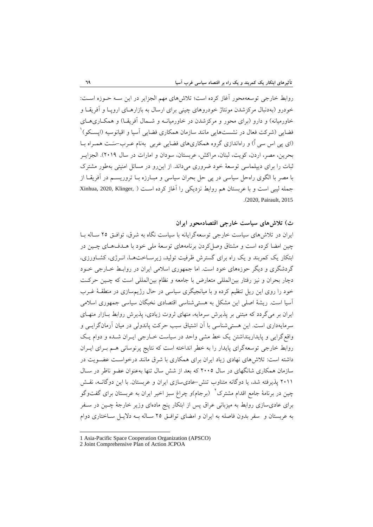روابط خارجی توسعهمحور آغاز کرده است؛ تالشهای مهم الجزایر در این سهه حهوزه اسهت: خودرو )بهدنبال مرکزشدن مونتاژ خودروهای چینی برای ارسال به بازارههای اروپها و آفریقها و خاورمیانه) و دارو (برای محور و مرکزشدن در خاورمیانـه و شــمال آفریقـا) و همکـاری۵حـای فضایی (شرکت فعال در نشستهایی مانند سازمان همکاری فضایی آسیا و اقیانوسیه (اپسـکو)<sup>'</sup> (ای پی اس سی اُ) و راهاندازی گروه همکاریهای فضایی عربی بهنام عـرب-سَـت همـراه بــا بحرین، مصر، اردن، کویت، لبنان، مراکش، عربستان، سودان و امارات در سال 2019(. الجزایهر ثبات را برای دیپلماسی توسعۀ خود ضروری میداند. از اینرو در مسائل امنیتی بهطور مشترآ با مصر با الگوی راهحل سیاسی در پی حل بحران سیاسی و مبهارزه بها تروریسهم در آفریقها از جمله لیبی است و با عربستان هم روابط نزدیکی را آغاز کرده است ( Xinhua, 2020, Klinger, .)2020, Pairault, 2015

**ث( تالشهاي سياست خارجی اقتصادمحور ایران** ایران در تلاش های سیاست خارجی توسعهگرایانه با سیاست نگاه به شرق، توافـق ۲۵ سـاله بـا چین امضا کرده است و مشتا وصلکردن برنامههای توسعۀ ملی خود با ههدف ههای چهین در ابتکار یک کمربند و یک راه برای گسترش ظرفیت تولید، زیرسهاخت هها، انهرژی، کشهاورزی، گردشگری و دیگر حوزههای خود است. اما جمهوری اسالمی ایران در روابهط خهارجی خهود دچار بحران و نیز رفتار بینالمللی متعارض با جامعه و نظام بینالمللی است که چهین حرکهت خود را روی این ریل تنظیم کرده و با میانجیگری سیاسی در حال رژیمسازی در منطقهۀ غهرب آسیا است. ریشۀ اصلی این مشکل به هستیشناسی اقتصادی نخبگان سیاسی جمهوری اسالمی ایران بر میگردد که مبتنی بر پذیرش سرمایه، منهای ثروت زیادی، پذیرش روابط بـازار منهـای سرمایهداری است. این هستی شناسی با آن اشتیاق سبب حرکت پاندولی در میان آرمانگرایسی و واقعگرایی و پایدارینداشتن یک خط مشی واحد در سیاست خهارجی ایهران شهده و دوام یهک روابط خارجی توسعهگرای پایدار را به خطر انداخته است که نتایج پرنوسانی ههم بهرای ایهران داشته است: تالشهای نهادی زیاد ایران برای همکاری با شر مانند درخواسهت عضهویت در سازمان همکاری شانگهای در سال 2005 که بعد از شش سال تنها بهعنوان عضو ناظر در سهال 2011 پذیرفته شد، یا دوگانه متناوب تنش-عادیسازی ایران و عربستان. با این دوگانهه، نقهش چین در برنامۀ جامع اقدام مشترک <sup>۱</sup> (برجام)و چراغ سبز اخیر ایران به عربستان برای گفتوگو برای عادیسازی روابط به میزبانی عراق پس از ابتکار پنج مادهای وزیر خارجۀ چــین در ســفر به عربستان و سفر بدون فاصله به ایران و امضای توافهق 25 سهاله بهه دالیهل سهاختاری دوام

<sup>1</sup> Asia-Pacific Space Cooperation Organization (APSCO)

<sup>2</sup> Joint Comprehensive Plan of Action JCPOA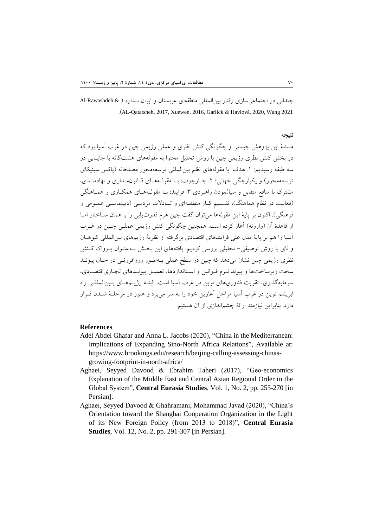چندانی در اجتماعیسازی رفتار بینالمللی منطقهای عربستان و ایران نهدارد ) & Rawashdeh-Al .)AL-Qatatsheh, 2017, Xuewen, 2016, Garlick & Havlová, 2020, Wang 2021

#### **نتيجه**

مسئلۀ این پژوهش چیستی و چگونگی کنش نظری و عملی رژیمی چین در غرب آسیا بود که در بخش کنش نظری رژیمی چین با روش تحلیل محتوا به مقولههای هشتگانه با جایــابی در سه طبقه رسیدیم: .1 هدف: با مقولههای نظم بینالمللی توسعهمحور مصلحانه )پاکس سینیکای توسعهمحور) و یکپارچگی جهانی؛ ۲. چـارچوب: بــا مقولـههــای قــانون«بــداری و نهادمنــدی، مشترک با منافع متقابل و سیالبودن راهبردی ۳. فرایند: بـا مقولـههـای همکـاری و همـاهنگی (فعالیت در نظام هماهنگ)، تقسیم کـار منطقـهای و تبـادلات مردمـی (دیپلماسـی عمـومی و فرهنگی). اکنون بر پایۀ این مقولهها میتوان گفت چین هرم قدرتیابی را با همان سـاختار امـا از قاعدۀ آن (وارونه) آغاز کرده است. همچنین چگونگی کنش رژیمی عملـی چـین در غـرب آسیا را هم بر پایۀ مدل علی فرایندهای اقتصادی برگرفته از نظریۀ رژیمهای بینالمللی کیوههان و نای با روش توصیفی- تحلیلی بررسی کردیم. یافتههای این بخش بـه عنوان پـژواک کـنش نظری رژیمی چین نشان میدهد که چین در سطح عملی بـهطـور روزافزونــی در حـال پیونــد سخت زیرساختها و پیوند نهرم قهوانین و اسهتانداردها، تعمیهق پیونهدهای تجهاری اقتصهادی، سرمایهگذاری، تقویت فناوریهای نوین در غرب آسیا است. البتهه رژیهم ههای بهین المللهی راه ابریشم نوین در غرب آسیا مراحل آغازین خود را به سر میبرد و هنوز در مرحلهۀ شهدن قهرار دارد. بنابراین نیازمند ارائۀ چشماندازی از آن هستیم.

#### **References**

- Adel Abdel Ghafar and Anna L. Jacobs (2020), "China in the Mediterranean: Implications of Expanding Sino-North Africa Relations", Available at: https://www.brookings.edu/research/beijing-calling-assessing-chinasgrowing-footprint-in-north-africa/
- Aghaei, Seyyed Davood & Ebrahim Taheri (2017), "Geo-economics Explanation of the Middle East and Central Asian Regional Order in the Global System", **Central Eurasia Studies**, Vol. 1, No. 2, pp. 255-270 [in Persian].
- Aghaei, Seyyed Davood & Ghahramani, Mohammad Javad (2020), "China's Orientation toward the Shanghai Cooperation Organization in the Light of its New Foreign Policy (from 2013 to 2018)", **Central Eurasia Studies**, Vol. 12, No. 2, pp. 291-307 [in Persian].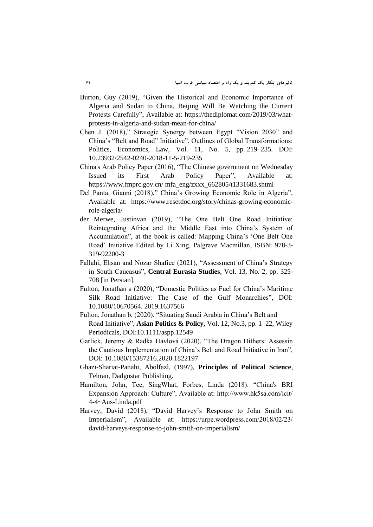- Burton, Guy (2019), "Given the Historical and Economic Importance of Algeria and Sudan to China, Beijing Will Be Watching the Current Protests Carefully", Available at: https://thediplomat.com/2019/03/whatprotests-in-algeria-and-sudan-mean-for-china/
- Chen J. (2018)," Strategic Synergy between Egypt "Vision 2030" and China's "Belt and Road" Initiative", Outlines of Global Transformations: Politics, Economics, Law, Vol. 11, No. 5, pp. 219–235. DOI: 10.23932/2542-0240-2018-11-5-219-235
- China's Arab Policy Paper (2016), "The Chinese government on Wednesday Issued its First Arab Policy Paper", Available at: https://www.fmprc.gov.cn/ mfa\_eng/zxxx\_662805/t1331683.shtml
- Del Panta, Gianni (2018)," China's Growing Economic Role in Algeria", Available at: https://www.resetdoc.org/story/chinas-growing-economicrole-algeria/
- der Merwe, Justinvan (2019), "The One Belt One Road Initiative: Reintegrating Africa and the Middle East into China's System of Accumulation", at the book is called: Mapping China's 'One Belt One Road' Initiative Edited by Li Xing, Palgrave Macmillan, ISBN: 978-3- 319-92200-3
- Fallahi, Ehsan and Nozar Shafiee (2021), "Assessment of China's Strategy in South Caucasus", **Central Eurasia Studies**, Vol. 13, No. 2, pp. 325- 708 [in Persian].
- Fulton, Jonathan a (2020), "Domestic Politics as Fuel for China's Maritime Silk Road Initiative: The Case of the Gulf Monarchies", DOI: 10.1080/10670564. 2019.1637566
- Fulton, Jonathan b, (2020). "Situating Saudi Arabia in China's Belt and Road Initiative", **Asian Politics & Policy,** Vol. 12, No.3, pp. 1–22, Wiley Periodicals, DOI:10.1111/aspp.12549
- Garlick, Jeremy & Radka Havlová (2020), "The Dragon Dithers: Assessin the Cautious Implementation of China's Belt and Road Initiative in Iran", DOI: 10.1080/15387216.2020.1822197
- Ghazi-Shariat-Panahi, Abolfazl, (1997), **Principles of Political Science**, Tehran, Dadgostar Publishing.
- Hamilton, John, Tee, SingWhat, Forbes, Linda (2018). "China's BRI Expansion Approach: Culture", Available at: http://www.hk5sa.com/icit/ 4-4~Aus-Linda.pdf
- Harvey, David (2018), "David Harvey's Response to John Smith on Imperialism", Available at: https://urpe.wordpress.com/2018/02/23/ david-harveys-response-to-john-smith-on-imperialism/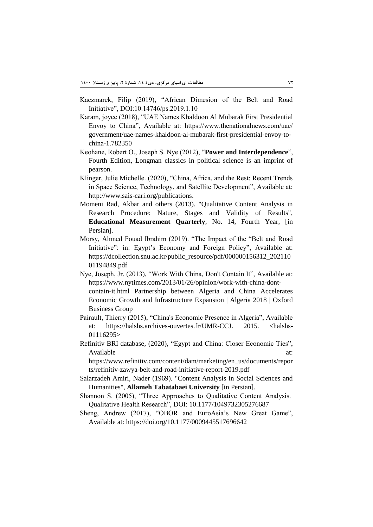- Kaczmarek, Filip (2019), "African Dimesion of the Belt and Road Initiative", DOI:10.14746/ps.2019.1.10
- Karam, joyce (2018), "UAE Names Khaldoon Al Mubarak First Presidential Envoy to China", Available at: https://www.thenationalnews.com/uae/ government/uae-names-khaldoon-al-mubarak-first-presidential-envoy-tochina-1.782350
- Keohane, Robert O., Joseph S. Nye (2012), "**Power and Interdependence**", Fourth Edition, Longman classics in political science is an imprint of pearson.
- Klinger, Julie Michelle. (2020), "China, Africa, and the Rest: Recent Trends in Space Science, Technology, and Satellite Development", Available at: http://www.sais-cari.org/publications.
- Momeni Rad, Akbar and others (2013). "Qualitative Content Analysis in Research Procedure: Nature, Stages and Validity of Results", **Educational Measurement Quarterly**, No. 14, Fourth Year, [in Persian].
- Morsy, Ahmed Fouad Ibrahim (2019). "The Impact of the "Belt and Road Initiative": in: Egypt's Economy and Foreign Policy", Available at: https://dcollection.snu.ac.kr/public\_resource/pdf/000000156312\_202110 01194849.pdf
- Nye, Joseph, Jr. (2013), "Work With China, Don't Contain It", Available at: https://www.nytimes.com/2013/01/26/opinion/work-with-china-dontcontain-it.html Partnership between Algeria and China Accelerates Economic Growth and Infrastructure Expansion | Algeria 2018 | Oxford Business Group
- Pairault, Thierry (2015), "China's Economic Presence in Algeria", Available at: https://halshs.archives-ouvertes.fr/UMR-CCJ. 2015. <halshs-01116295>
- Refinitiv BRI database, (2020), "Egypt and China: Closer Economic Ties", Available at:  $\alpha$

https://www.refinitiv.com/content/dam/marketing/en\_us/documents/repor ts/refinitiv-zawya-belt-and-road-initiative-report-2019.pdf

- Salarzadeh Amiri, Nader (1969). "Content Analysis in Social Sciences and Humanities", **Allameh Tabatabaei University** [in Persian].
- Shannon S. (2005), "Three Approaches to Qualitative Content Analysis. Qualitative Health Research", DOI: 10.1177/1049732305276687

Sheng, Andrew (2017), "OBOR and EuroAsia's New Great Game", Available at: https://doi.org/10.1177/0009445517696642